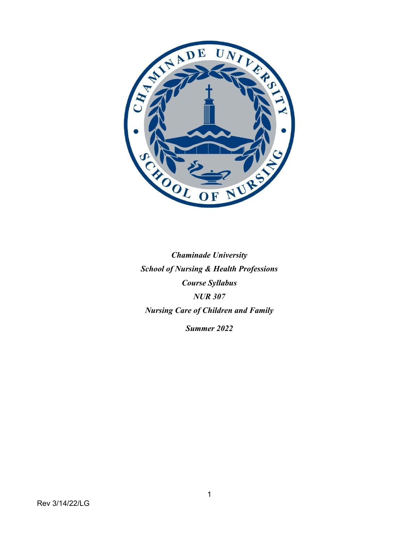

*Chaminade University School of Nursing & Health Professions Course Syllabus NUR 307 Nursing Care of Children and Family Summer 2022*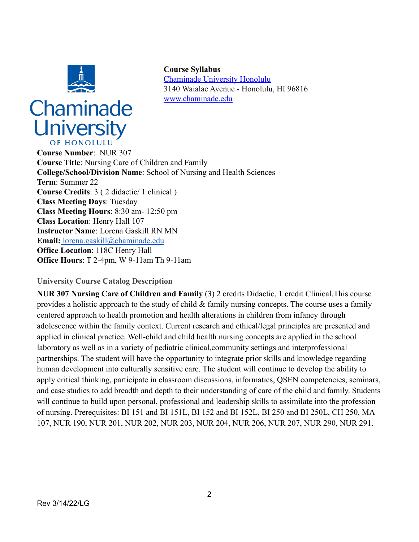

# Chaminade **University** OF HONOLULL

**Course Syllabus** [Chaminade University Honolulu](http://www.chaminade.edu) 3140 Waialae Avenue - Honolulu, HI 96816 [www.chaminade.edu](http://www.chaminade.edu)

**Course Number**: NUR 307 **Course Title**: Nursing Care of Children and Family **College/School/Division Name**: School of Nursing and Health Sciences **Term**: Summer 22 **Course Credits**: 3 ( 2 didactic/ 1 clinical ) **Class Meeting Days**: Tuesday **Class Meeting Hours**: 8:30 am- 12:50 pm **Class Location**: Henry Hall 107 **Instructor Name**: Lorena Gaskill RN MN **Email:** [lorena.gaskill@chaminade.edu](mailto:lorena.gaskill@chaminade.edu) **Office Location**: 118C Henry Hall **Office Hours**: T 2-4pm, W 9-11am Th 9-11am

# **University Course Catalog Description**

**NUR 307 Nursing Care of Children and Family** (3) 2 credits Didactic, 1 credit Clinical.This course provides a holistic approach to the study of child & family nursing concepts. The course uses a family centered approach to health promotion and health alterations in children from infancy through adolescence within the family context. Current research and ethical/legal principles are presented and applied in clinical practice. Well-child and child health nursing concepts are applied in the school laboratory as well as in a variety of pediatric clinical,community settings and interprofessional partnerships. The student will have the opportunity to integrate prior skills and knowledge regarding human development into culturally sensitive care. The student will continue to develop the ability to apply critical thinking, participate in classroom discussions, informatics, QSEN competencies, seminars, and case studies to add breadth and depth to their understanding of care of the child and family. Students will continue to build upon personal, professional and leadership skills to assimilate into the profession of nursing. Prerequisites: BI 151 and BI 151L, BI 152 and BI 152L, BI 250 and BI 250L, CH 250, MA 107, NUR 190, NUR 201, NUR 202, NUR 203, NUR 204, NUR 206, NUR 207, NUR 290, NUR 291.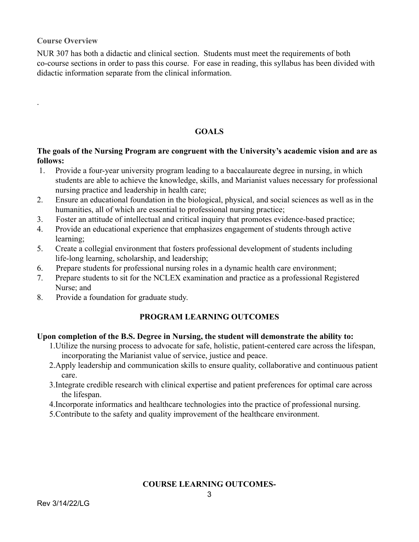**Course Overview**

.

NUR 307 has both a didactic and clinical section. Students must meet the requirements of both co-course sections in order to pass this course. For ease in reading, this syllabus has been divided with didactic information separate from the clinical information.

# **GOALS**

## **The goals of the Nursing Program are congruent with the University's academic vision and are as follows:**

- 1. Provide a four-year university program leading to a baccalaureate degree in nursing, in which students are able to achieve the knowledge, skills, and Marianist values necessary for professional nursing practice and leadership in health care;
- 2. Ensure an educational foundation in the biological, physical, and social sciences as well as in the humanities, all of which are essential to professional nursing practice;
- 3. Foster an attitude of intellectual and critical inquiry that promotes evidence-based practice;
- 4. Provide an educational experience that emphasizes engagement of students through active learning;
- 5. Create a collegial environment that fosters professional development of students including life-long learning, scholarship, and leadership;
- 6. Prepare students for professional nursing roles in a dynamic health care environment;
- 7. Prepare students to sit for the NCLEX examination and practice as a professional Registered Nurse; and
- 8. Provide a foundation for graduate study.

# **PROGRAM LEARNING OUTCOMES**

## **Upon completion of the B.S. Degree in Nursing, the student will demonstrate the ability to:**

- 1.Utilize the nursing process to advocate for safe, holistic, patient-centered care across the lifespan, incorporating the Marianist value of service, justice and peace.
- 2.Apply leadership and communication skills to ensure quality, collaborative and continuous patient care.
- 3.Integrate credible research with clinical expertise and patient preferences for optimal care across the lifespan.
- 4.Incorporate informatics and healthcare technologies into the practice of professional nursing.
- 5.Contribute to the safety and quality improvement of the healthcare environment.

# **COURSE LEARNING OUTCOMES-**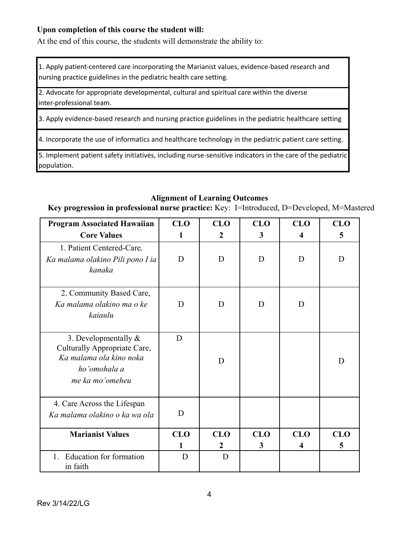## **Upon completion of this course the student will:**

At the end of this course, the students will demonstrate the ability to:

1. Apply patient-centered care incorporating the Marianist values, evidence-based research and nursing practice guidelines in the pediatric health care setting.

2. Advocate for appropriate developmental, cultural and spiritual care within the diverse inter-professional team.

3. Apply evidence-based research and nursing practice guidelines in the pediatric healthcare setting

4. Incorporate the use of informatics and healthcare technology in the pediatric patient care setting.

5. Implement patient safety initiatives, including nurse-sensitive indicators in the care of the pediatric population.

## **Alignment of Learning Outcomes**

**Key progression in professional nurse practice:** Key: I=Introduced, D=Developed, M=Mastered

| <b>Program Associated Hawaiian</b><br><b>Core Values</b>                                                              | <b>CLO</b><br>1 | <b>CLO</b><br>2 | <b>CLO</b><br>3 | <b>CLO</b><br>4 | <b>CLO</b><br>5 |
|-----------------------------------------------------------------------------------------------------------------------|-----------------|-----------------|-----------------|-----------------|-----------------|
| 1. Patient Centered-Care,<br>Ka malama olakino Pili pono I ia<br>kanaka                                               | D               | D               | D               | D               | D               |
| 2. Community Based Care,<br>Ka malama olakino ma o ke<br>kaiaulu                                                      | D               | D               | D               | D               |                 |
| 3. Developmentally $\&$<br>Culturally Appropriate Care,<br>Ka malama ola kino noka<br>ho'omohala a<br>me ka mo'omeheu | D               | D               |                 |                 | D               |
| 4. Care Across the Lifespan<br>Ka malama olakino o ka wa ola                                                          | D               |                 |                 |                 |                 |
| <b>Marianist Values</b>                                                                                               | <b>CLO</b>      | <b>CLO</b><br>2 | <b>CLO</b><br>3 | <b>CLO</b><br>4 | <b>CLO</b><br>5 |
| Education for formation<br>$1_{-}$<br>in faith                                                                        | D               | D               |                 |                 |                 |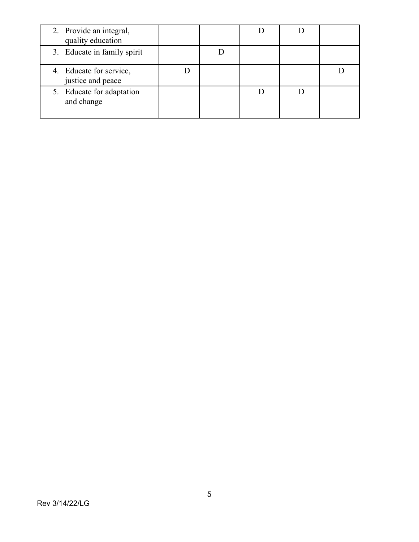| 2. Provide an integral,<br>quality education |  |  |  |
|----------------------------------------------|--|--|--|
| 3. Educate in family spirit                  |  |  |  |
| 4. Educate for service,<br>justice and peace |  |  |  |
| 5. Educate for adaptation<br>and change      |  |  |  |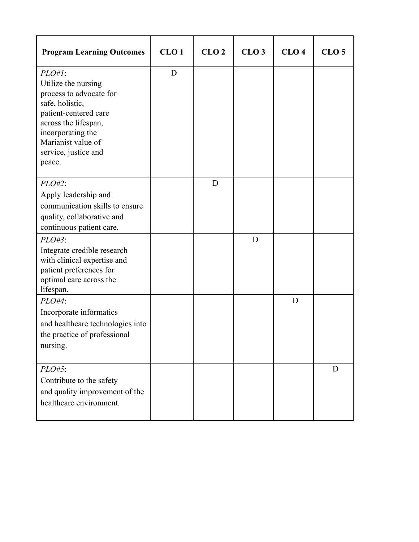| <b>Program Learning Outcomes</b>                                                                                                                                                                             | CLO <sub>1</sub> | CLO <sub>2</sub> | CLO <sub>3</sub> | CLO <sub>4</sub> | CLO <sub>5</sub> |
|--------------------------------------------------------------------------------------------------------------------------------------------------------------------------------------------------------------|------------------|------------------|------------------|------------------|------------------|
| $PLO#I$ :<br>Utilize the nursing<br>process to advocate for<br>safe, holistic,<br>patient-centered care<br>across the lifespan,<br>incorporating the<br>Marianist value of<br>service, justice and<br>peace. | D                |                  |                  |                  |                  |
| $PLO#2$ :<br>Apply leadership and<br>communication skills to ensure<br>quality, collaborative and<br>continuous patient care.                                                                                |                  | D                |                  |                  |                  |
| $PLO#3$ :<br>Integrate credible research<br>with clinical expertise and<br>patient preferences for<br>optimal care across the<br>lifespan.                                                                   |                  |                  | D                |                  |                  |
| $PLO#4$ :<br>Incorporate informatics<br>and healthcare technologies into<br>the practice of professional<br>nursing.                                                                                         |                  |                  |                  | D                |                  |
| $PLO#5$ :<br>Contribute to the safety<br>and quality improvement of the<br>healthcare environment.                                                                                                           |                  |                  |                  |                  | D                |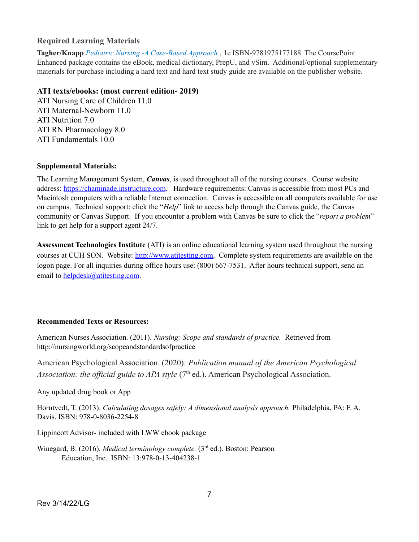### **Required Learning Materials**

**Tagher/Knapp** *Pediatric Nursing -A Case-Based Approach* , 1e ISBN-9781975177188. The CoursePoint Enhanced package contains the eBook, medical dictionary, PrepU, and vSim. Additional/optional supplementary materials for purchase including a hard text and hard text study guide are available on the publisher website.

#### **ATI texts/ebooks: (most current edition- 2019)**

ATI Nursing Care of Children 11.0 ATI Maternal-Newborn 11.0 ATI Nutrition 7.0 ATI RN Pharmacology 8.0 ATI Fundamentals 10.0

#### **Supplemental Materials:**

The Learning Management System, *Canvas*, is used throughout all of the nursing courses. Course website address: <https://chaminade.instructure.com>. Hardware requirements: Canvas is accessible from most PCs and Macintosh computers with a reliable Internet connection. Canvas is accessible on all computers available for use on campus. Technical support: click the "*Help*" link to access help through the Canvas guide, the Canvas community or Canvas Support. If you encounter a problem with Canvas be sure to click the "*report a problem*" link to get help for a support agent 24/7.

**Assessment Technologies Institute** (ATI) is an online educational learning system used throughout the nursing courses at CUH SON. Website: [http://www.atitesting.com.](http://www.atitesting.com) Complete system requirements are available on the logon page. For all inquiries during office hours use: (800) 667-7531. After hours technical support, send an email to [helpdesk@atitesting.com.](mailto:helpdesk@atitesting.com)

### **Recommended Texts or Resources:**

American Nurses Association. (2011). *Nursing: Scope and standards of practice.* Retrieved from http://nursingworld.org/scopeandstandardsofpractice

American Psychological Association. (2020). *Publication manual of the American Psychological Association: the official guide to APA style* (7<sup>th</sup> ed.). American Psychological Association.

Any updated drug book or App

Horntvedt, T. (2013). *Calculating dosages safely: A dimensional analysis approach.* Philadelphia, PA: F. A. Davis. ISBN: 978-0-8036-2254-8

Lippincott Advisor- included with LWW ebook package

Winegard, B. (2016). *Medical terminology complete.* (3 rd ed.). Boston: Pearson Education, Inc. ISBN: 13:978-0-13-404238-1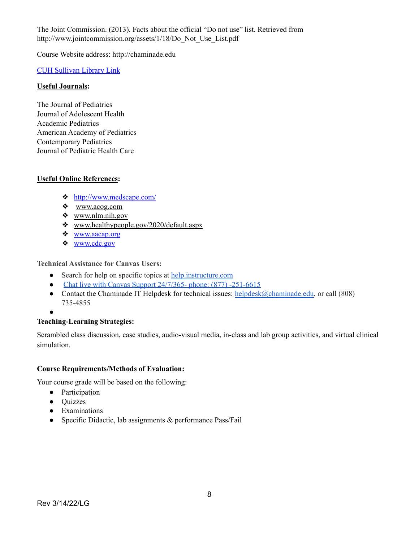The Joint Commission. (2013). Facts about the official "Do not use" list. Retrieved from http://www.jointcommission.org/assets/1/18/Do\_Not\_Use\_List.pdf

Course Website address: http://chaminade.edu

## CUH [Sullivan](http://lib.chaminade.edu/) Library Link

### **Useful Journals:**

The Journal of Pediatrics Journal of Adolescent Health Academic Pediatrics American Academy of Pediatrics Contemporary Pediatrics Journal of Pediatric Health Care

## **Useful Online References:**

- ❖ <http://www.medscape.com/>
- ❖ [www.acog.com](http://www.acog.com)
- ❖ [www.nlm.nih.gov](http://www.nlm.nih.gov)
- ❖ [www.healthypeople.gov/2020/default.aspx](http://www.healthypeople.gov/2020/default.aspx)
- ❖ [www.aacap.org](http://www.aacap.org)
- ❖ [www.cdc.gov](http://www.cdc.gov)

**Technical Assistance for Canvas Users:**

- Search for help on specific topics at [help.instructure.com](http://help.instructure.com/)
- Chat live with Canvas Support [24/7/365-](https://secure.livechatinc.com/licence/2695732/open_chat.cgi?groups=46) phone: (877) -251-6615
- Contact the Chaminade IT Helpdesk for technical issues: [helpdesk@chaminade.edu,](mailto:helpdesk@chaminade.edu) or call (808) 735-4855
- $\blacksquare$

## **Teaching-Learning Strategies:**

Scrambled class discussion, case studies, audio-visual media, in-class and lab group activities, and virtual clinical simulation.

### **Course Requirements/Methods of Evaluation:**

Your course grade will be based on the following:

- Participation
- Quizzes
- Examinations
- Specific Didactic, lab assignments & performance Pass/Fail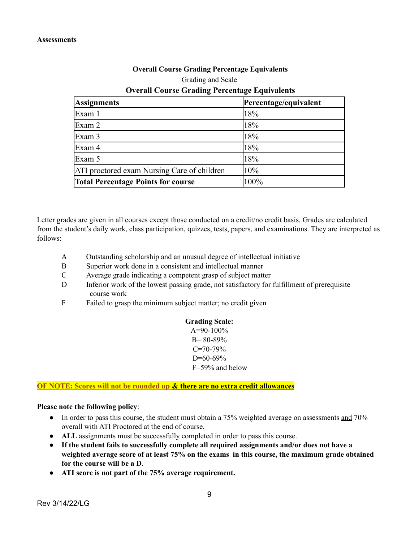#### **Overall Course Grading Percentage Equivalents**

#### Grading and Scale

## **Overall Course Grading Percentage Equivalents**

| <b>Assignments</b>                          | Percentage/equivalent |
|---------------------------------------------|-----------------------|
| Exam 1                                      | 18%                   |
| Exam 2                                      | 18%                   |
| Exam 3                                      | 18%                   |
| Exam 4                                      | 18%                   |
| Exam 5                                      | 18%                   |
| ATI proctored exam Nursing Care of children | 10%                   |
| <b>Total Percentage Points for course</b>   | 100%                  |

Letter grades are given in all courses except those conducted on a credit/no credit basis. Grades are calculated from the student's daily work, class participation, quizzes, tests, papers, and examinations. They are interpreted as follows:

- A Outstanding scholarship and an unusual degree of intellectual initiative
- B Superior work done in a consistent and intellectual manner
- C Average grade indicating a competent grasp of subject matter
- D Inferior work of the lowest passing grade, not satisfactory for fulfillment of prerequisite course work
- F Failed to grasp the minimum subject matter; no credit given

#### **Grading Scale:**  $A=90-100%$

B= 80-89%  $C=70-79%$ D=60-69% F=59% and below

### **OF NOTE: Scores will not be rounded up & there are no extra credit allowances**

#### **Please note the following policy**:

- In order to pass this course, the student must obtain a 75% weighted average on assessments and 70% overall with ATI Proctored at the end of course.
- **ALL** assignments must be successfully completed in order to pass this course.
- **If the student fails to successfully complete all required assignments and/or does not have a weighted average score of at least 75% on the exams in this course, the maximum grade obtained for the course will be a D**.
- **ATI score is not part of the 75% average requirement.**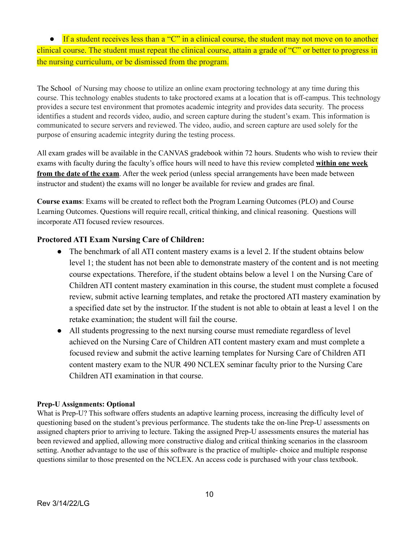• If a student receives less than a "C" in a clinical course, the student may not move on to another clinical course. The student must repeat the clinical course, attain a grade of "C" or better to progress in the nursing curriculum, or be dismissed from the program.

The School of Nursing may choose to utilize an online exam proctoring technology at any time during this course. This technology enables students to take proctored exams at a location that is off-campus. This technology provides a secure test environment that promotes academic integrity and provides data security. The process identifies a student and records video, audio, and screen capture during the student's exam. This information is communicated to secure servers and reviewed. The video, audio, and screen capture are used solely for the purpose of ensuring academic integrity during the testing process.

All exam grades will be available in the CANVAS gradebook within 72 hours. Students who wish to review their exams with faculty during the faculty's office hours will need to have this review completed **within one week from the date of the exam**. After the week period (unless special arrangements have been made between instructor and student) the exams will no longer be available for review and grades are final.

**Course exams**: Exams will be created to reflect both the Program Learning Outcomes (PLO) and Course Learning Outcomes. Questions will require recall, critical thinking, and clinical reasoning. Questions will incorporate ATI focused review resources.

## **Proctored ATI Exam Nursing Care of Children:**

- The benchmark of all ATI content mastery exams is a level 2. If the student obtains below level 1; the student has not been able to demonstrate mastery of the content and is not meeting course expectations. Therefore, if the student obtains below a level 1 on the Nursing Care of Children ATI content mastery examination in this course, the student must complete a focused review, submit active learning templates, and retake the proctored ATI mastery examination by a specified date set by the instructor. If the student is not able to obtain at least a level 1 on the retake examination; the student will fail the course.
- All students progressing to the next nursing course must remediate regardless of level achieved on the Nursing Care of Children ATI content mastery exam and must complete a focused review and submit the active learning templates for Nursing Care of Children ATI content mastery exam to the NUR 490 NCLEX seminar faculty prior to the Nursing Care Children ATI examination in that course.

### **Prep-U Assignments: Optional**

What is Prep-U? This software offers students an adaptive learning process, increasing the difficulty level of questioning based on the student's previous performance. The students take the on-line Prep-U assessments on assigned chapters prior to arriving to lecture. Taking the assigned Prep-U assessments ensures the material has been reviewed and applied, allowing more constructive dialog and critical thinking scenarios in the classroom setting. Another advantage to the use of this software is the practice of multiple- choice and multiple response questions similar to those presented on the NCLEX. An access code is purchased with your class textbook.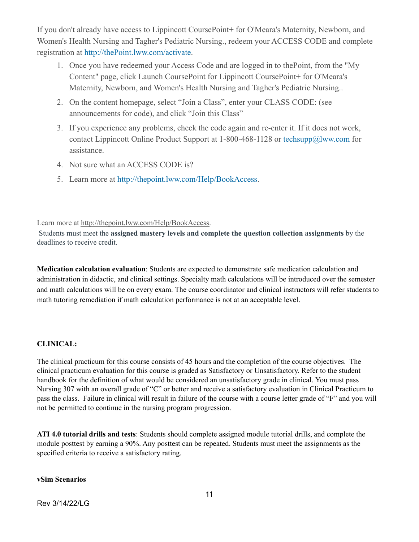If you don't already have access to Lippincott CoursePoint+ for O'Meara's Maternity, Newborn, and Women's Health Nursing and Tagher's Pediatric Nursing., redeem your ACCESS CODE and complete registration at [http://thePoint.lww.com/activate](http://thepoint.lww.com/activate).

- 1. Once you have redeemed your Access Code and are logged in to thePoint, from the "My Content" page, click Launch CoursePoint for Lippincott CoursePoint+ for O'Meara's Maternity, Newborn, and Women's Health Nursing and Tagher's Pediatric Nursing..
- 2. On the content homepage, select "Join a Class", enter your CLASS CODE: (see announcements for code), and click "Join this Class"
- 3. If you experience any problems, check the code again and re-enter it. If it does not work, contact Lippincott Online Product Support at 1-800-468-1128 or techsupp@lww.com for assistance.
- 4. Not sure what an ACCESS CODE is?
- 5. Learn more at <http://thepoint.lww.com/Help/BookAccess>.

Learn more at [http://thepoint.lww.com/Help/BookAccess.](http://thepoint.lww.com/Help/BookAccess)

Students must meet the **assigned mastery levels and complete the question collection assignments** by the deadlines to receive credit.

**Medication calculation evaluation**: Students are expected to demonstrate safe medication calculation and administration in didactic, and clinical settings. Specialty math calculations will be introduced over the semester and math calculations will be on every exam. The course coordinator and clinical instructors will refer students to math tutoring remediation if math calculation performance is not at an acceptable level.

## **CLINICAL:**

The clinical practicum for this course consists of 45 hours and the completion of the course objectives. The clinical practicum evaluation for this course is graded as Satisfactory or Unsatisfactory. Refer to the student handbook for the definition of what would be considered an unsatisfactory grade in clinical. You must pass Nursing 307 with an overall grade of "C" or better and receive a satisfactory evaluation in Clinical Practicum to pass the class. Failure in clinical will result in failure of the course with a course letter grade of "F" and you will not be permitted to continue in the nursing program progression.

**ATI 4.0 tutorial drills and tests**: Students should complete assigned module tutorial drills, and complete the module posttest by earning a 90%. Any posttest can be repeated. Students must meet the assignments as the specified criteria to receive a satisfactory rating.

**vSim Scenarios**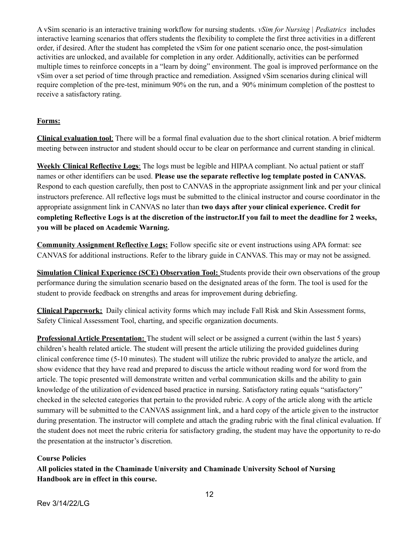A vSim scenario is an interactive training workflow for nursing students. *vSim for Nursing | Pediatrics* includes interactive learning scenarios that offers students the flexibility to complete the first three activities in a different order, if desired. After the student has completed the vSim for one patient scenario once, the post-simulation activities are unlocked, and available for completion in any order. Additionally, activities can be performed multiple times to reinforce concepts in a "learn by doing" environment. The goal is improved performance on the vSim over a set period of time through practice and remediation. Assigned vSim scenarios during clinical will require completion of the pre-test, minimum 90% on the run, and a 90% minimum completion of the posttest to receive a satisfactory rating.

#### **Forms:**

**Clinical evaluation tool**: There will be a formal final evaluation due to the short clinical rotation. A brief midterm meeting between instructor and student should occur to be clear on performance and current standing in clinical.

**Weekly Clinical Reflective Logs**: The logs must be legible and HIPAA compliant. No actual patient or staff names or other identifiers can be used. **Please use the separate reflective log template posted in CANVAS.** Respond to each question carefully, then post to CANVAS in the appropriate assignment link and per your clinical instructors preference. All reflective logs must be submitted to the clinical instructor and course coordinator in the appropriate assignment link in CANVAS no later than **two days after your clinical experience. Credit for** completing Reflective Logs is at the discretion of the instructor. If you fail to meet the deadline for 2 weeks, **you will be placed on Academic Warning.**

**Community Assignment Reflective Logs:** Follow specific site or event instructions using APA format: see CANVAS for additional instructions. Refer to the library guide in CANVAS. This may or may not be assigned.

**Simulation Clinical Experience (SCE) Observation Tool:** Students provide their own observations of the group performance during the simulation scenario based on the designated areas of the form. The tool is used for the student to provide feedback on strengths and areas for improvement during debriefing.

**Clinical Paperwork:** Daily clinical activity forms which may include Fall Risk and Skin Assessment forms, Safety Clinical Assessment Tool, charting, and specific organization documents.

**Professional Article Presentation:** The student will select or be assigned a current (within the last 5 years) children's health related article. The student will present the article utilizing the provided guidelines during clinical conference time (5-10 minutes). The student will utilize the rubric provided to analyze the article, and show evidence that they have read and prepared to discuss the article without reading word for word from the article. The topic presented will demonstrate written and verbal communication skills and the ability to gain knowledge of the utilization of evidenced based practice in nursing. Satisfactory rating equals "satisfactory" checked in the selected categories that pertain to the provided rubric. A copy of the article along with the article summary will be submitted to the CANVAS assignment link, and a hard copy of the article given to the instructor during presentation. The instructor will complete and attach the grading rubric with the final clinical evaluation. If the student does not meet the rubric criteria for satisfactory grading, the student may have the opportunity to re-do the presentation at the instructor's discretion.

#### **Course Policies**

**All policies stated in the Chaminade University and Chaminade University School of Nursing Handbook are in effect in this course.**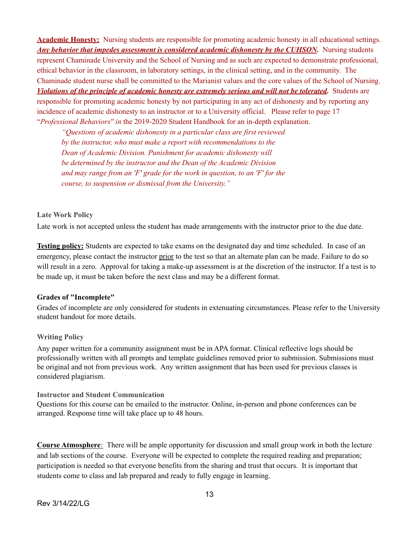**Academic Honesty:** Nursing students are responsible for promoting academic honesty in all educational settings. *Any behavior that impedes assessment is considered academic dishonesty by the CUHSON.* Nursing students represent Chaminade University and the School of Nursing and as such are expected to demonstrate professional, ethical behavior in the classroom, in laboratory settings, in the clinical setting, and in the community. The Chaminade student nurse shall be committed to the Marianist values and the core values of the School of Nursing. *Violations of the principle of academic honesty are extremely serious and will not be tolerated***.** Students are responsible for promoting academic honesty by not participating in any act of dishonesty and by reporting any incidence of academic dishonesty to an instructor or to a University official. Please refer to page 17 "*Professional Behaviors'' in* the 2019-2020 Student Handbook for an in-depth explanation.

*"Questions of academic dishonesty in a particular class are first reviewed by the instructor, who must make a report with recommendations to the Dean of Academic Division. Punishment for academic dishonesty will be determined by the instructor and the Dean of the Academic Division and may range from an 'F' grade for the work in question, to an 'F' for the course, to suspension or dismissal from the University."*

#### **Late Work Policy**

Late work is not accepted unless the student has made arrangements with the instructor prior to the due date.

**Testing policy:** Students are expected to take exams on the designated day and time scheduled. In case of an emergency, please contact the instructor prior to the test so that an alternate plan can be made. Failure to do so will result in a zero. Approval for taking a make-up assessment is at the discretion of the instructor. If a test is to be made up, it must be taken before the next class and may be a different format.

#### **Grades of "Incomplete"**

Grades of incomplete are only considered for students in extenuating circumstances. Please refer to the University student handout for more details.

#### **Writing Policy**

Any paper written for a community assignment must be in APA format. Clinical reflective logs should be professionally written with all prompts and template guidelines removed prior to submission. Submissions must be original and not from previous work. Any written assignment that has been used for previous classes is considered plagiarism.

#### **Instructor and Student Communication**

Questions for this course can be emailed to the instructor. Online, in-person and phone conferences can be arranged. Response time will take place up to 48 hours.

**Course Atmosphere**: There will be ample opportunity for discussion and small group work in both the lecture and lab sections of the course. Everyone will be expected to complete the required reading and preparation; participation is needed so that everyone benefits from the sharing and trust that occurs. It is important that students come to class and lab prepared and ready to fully engage in learning.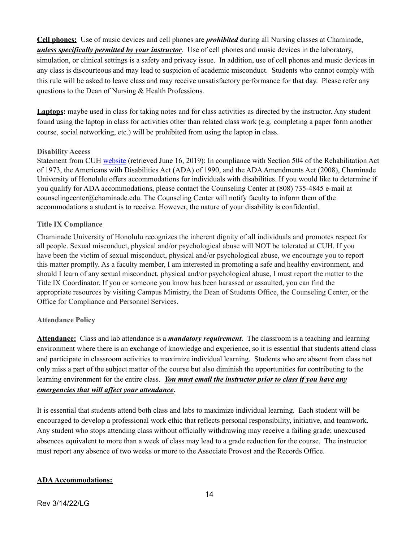**Cell phones:** Use of music devices and cell phones are *prohibited* during all Nursing classes at Chaminade, *unless specifically permitted by your instructor.* Use of cell phones and music devices in the laboratory, simulation, or clinical settings is a safety and privacy issue. In addition, use of cell phones and music devices in any class is discourteous and may lead to suspicion of academic misconduct. Students who cannot comply with this rule will be asked to leave class and may receive unsatisfactory performance for that day. Please refer any questions to the Dean of Nursing & Health Professions.

**Laptops:** maybe used in class for taking notes and for class activities as directed by the instructor. Any student found using the laptop in class for activities other than related class work (e.g. completing a paper form another course, social networking, etc.) will be prohibited from using the laptop in class.

#### **Disability Access**

Statement from CUH [website](https://chaminade.edu/student-life/counseling-services/) (retrieved June 16, 2019): In compliance with Section 504 of the Rehabilitation Act of 1973, the Americans with Disabilities Act (ADA) of 1990, and the ADAAmendments Act (2008), Chaminade University of Honolulu offers accommodations for individuals with disabilities. If you would like to determine if you qualify for ADA accommodations, please contact the Counseling Center at (808) 735-4845 e-mail at counselingcenter@chaminade.edu. The Counseling Center will notify faculty to inform them of the accommodations a student is to receive. However, the nature of your disability is confidential.

#### **Title IX Compliance**

Chaminade University of Honolulu recognizes the inherent dignity of all individuals and promotes respect for all people. Sexual misconduct, physical and/or psychological abuse will NOT be tolerated at CUH. If you have been the victim of sexual misconduct, physical and/or psychological abuse, we encourage you to report this matter promptly. As a faculty member, I am interested in promoting a safe and healthy environment, and should I learn of any sexual misconduct, physical and/or psychological abuse, I must report the matter to the Title IX Coordinator. If you or someone you know has been harassed or assaulted, you can find the appropriate resources by visiting Campus Ministry, the Dean of Students Office, the Counseling Center, or the Office for Compliance and Personnel Services.

### **Attendance Policy**

**Attendance:** Class and lab attendance is a *mandatory requirement*. The classroom is a teaching and learning environment where there is an exchange of knowledge and experience, so it is essential that students attend class and participate in classroom activities to maximize individual learning. Students who are absent from class not only miss a part of the subject matter of the course but also diminish the opportunities for contributing to the learning environment for the entire class. *You must email the instructor prior to class if you have any emergencies that will af ect your attendance***.**

It is essential that students attend both class and labs to maximize individual learning. Each student will be encouraged to develop a professional work ethic that reflects personal responsibility, initiative, and teamwork. Any student who stops attending class without officially withdrawing may receive a failing grade; unexcused absences equivalent to more than a week of class may lead to a grade reduction for the course. The instructor must report any absence of two weeks or more to the Associate Provost and the Records Office.

### **ADAAccommodations:**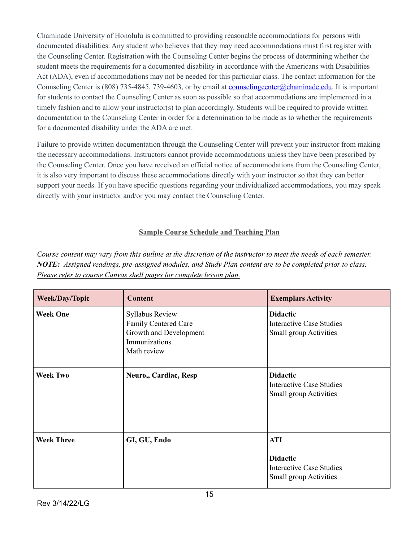Chaminade University of Honolulu is committed to providing reasonable accommodations for persons with documented disabilities. Any student who believes that they may need accommodations must first register with the Counseling Center. Registration with the Counseling Center begins the process of determining whether the student meets the requirements for a documented disability in accordance with the Americans with Disabilities Act (ADA), even if accommodations may not be needed for this particular class. The contact information for the Counseling Center is (808) 735-4845, 739-4603, or by email at **[counselingcenter@chaminade.edu](mailto:counselingcenter@chaminade.edu)**. It is important for students to contact the Counseling Center as soon as possible so that accommodations are implemented in a timely fashion and to allow your instructor(s) to plan accordingly. Students will be required to provide written documentation to the Counseling Center in order for a determination to be made as to whether the requirements for a documented disability under the ADA are met.

Failure to provide written documentation through the Counseling Center will prevent your instructor from making the necessary accommodations. Instructors cannot provide accommodations unless they have been prescribed by the Counseling Center. Once you have received an official notice of accommodations from the Counseling Center, it is also very important to discuss these accommodations directly with your instructor so that they can better support your needs. If you have specific questions regarding your individualized accommodations, you may speak directly with your instructor and/or you may contact the Counseling Center.

## **Sample Course Schedule and Teaching Plan**

Course content may vary from this outline at the discretion of the instructor to meet the needs of each semester. *NOTE: Assigned readings, pre-assigned modules, and Study Plan content are to be completed prior to class. Please refer to course Canvas shell pages for complete lesson plan.*

| <b>Week/Day/Topic</b> | <b>Content</b>                                                                                           | <b>Exemplars Activity</b>                                                                  |
|-----------------------|----------------------------------------------------------------------------------------------------------|--------------------------------------------------------------------------------------------|
| <b>Week One</b>       | <b>Syllabus Review</b><br>Family Centered Care<br>Growth and Development<br>Immunizations<br>Math review | <b>Didactic</b><br><b>Interactive Case Studies</b><br>Small group Activities               |
| <b>Week Two</b>       | Neuro,, Cardiac, Resp                                                                                    | <b>Didactic</b><br><b>Interactive Case Studies</b><br>Small group Activities               |
| <b>Week Three</b>     | GI, GU, Endo                                                                                             | <b>ATI</b><br><b>Didactic</b><br><b>Interactive Case Studies</b><br>Small group Activities |